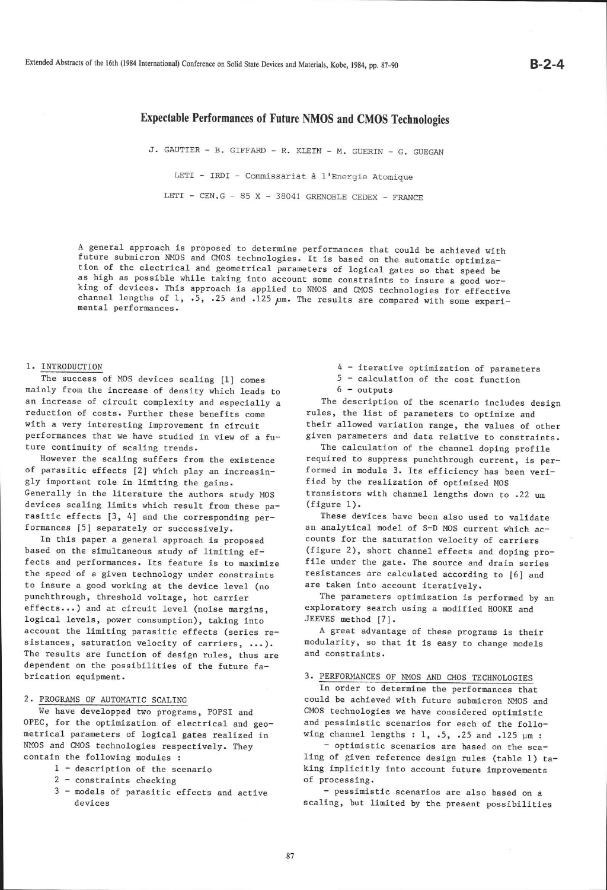# Expectable Performances of Future NMOS and CMOS Technologies

J. GAUTIER - B. GIFFARD - R. KLEIN - M. GUERIN - G. GUEGAN

LETI - IRDI - Commissariat à l'Energie Atomique

LETI - CEN.G - 85 X - 38041 GRENOBLE CEDEX - FRANCE

A general approach is proposed to determine performances that could be achieved with<br>future submicron NMOS and CMOS technologies. It is based on the automatic optimiza-<br>tion of the electrical and geometrical parameters of

### I. INTRODUCTION

The success of MOS devices scaling [1] comes mainly from the increase of density which leads to an increase of circuit complexity and especially <sup>a</sup> reduction of costs. Further these benefits come with a very interesting improvement in circuit performances that we have studied in view of a future continuity of scaling trends.

However the scallng suffers from the existence of parasitic effects [2] which play an increasingly important role in limiting the gains. Generally in the literature the authors study MOS devices scaling limits which result from these parasitic effects [3, 4] and the corresponding performances [5] separately or successively.

In this paper a general approach is proposed based on the simultaneous study of limiting effects and performances. Its feature is to maximize the speed of a given technology under constraints to insure a good working at the device level (no punchthrough, threshold voltage, hot carrier effects...) and at circuit level (noise margins, logical levels, power consumption), taking into account the liniting parasitic effects (series resistances, saturation velocity of carriers, ...). The results are function of design rules, thus are dependent on the possibilities of the future fabrication equipment.

### 2. PROGRAMS OF AUToMATTC SCALTNG

We have developped two programs, POPSI and OPEC, for the optimization of electrical and geonetrical- parameters of logical gates realized in NMOS and CMOS technologies respectively. They contain the following modules :

- 1 description of the scenario
- 2 constraints checking
- 3 models of parasitic effects and active devices

4 - iterative optimization of parameters 5 - calculation of the cost function 6 - outputs

The description of the scenario includes design rules, the list of parameters to optimize and their allowed variation range, the values of other given parameters and data relative to constraints.

The calculation of the channel doping profile required to suppress punchthrough current, is performed in module 3. Its efficiency has been verified by the realization of optimized MOS transistors with channel lengths down to .22 um  $(figure 1)$ .

These devices have been also used to validate an analytical model of S-D MOS current which accounts for the saturation velocity of carriers (figure 2), short channel effects and doping profile under the gate. The source and drain series resistances are calculated according to [6] and are taken into account iteratively.

The parameters optinization is perforned by an exploratory search using a modified HOOKE and JEEVES method [7].

A great advantage of these programs is their modularity, so that, it is easy to change models and constraints.

#### 3. PERFORMANCES OF NMOS AND CMOS TECHNOLOGIES

In order to determine the performances that could be achieved with future submicron NMOS and CMOS technologies we have considered optimistic and pessimistic scenarios for each of the following channel lengths : 1, .5, .25 and .125  $\mu$ m :

- optimistlc scenarios are based on the scaling of given reference design rules (table 1) taking implicitly into account future improvements of processing.

- pessimistic scenarios are also based on <sup>a</sup> scaling, but limited by the present possibilities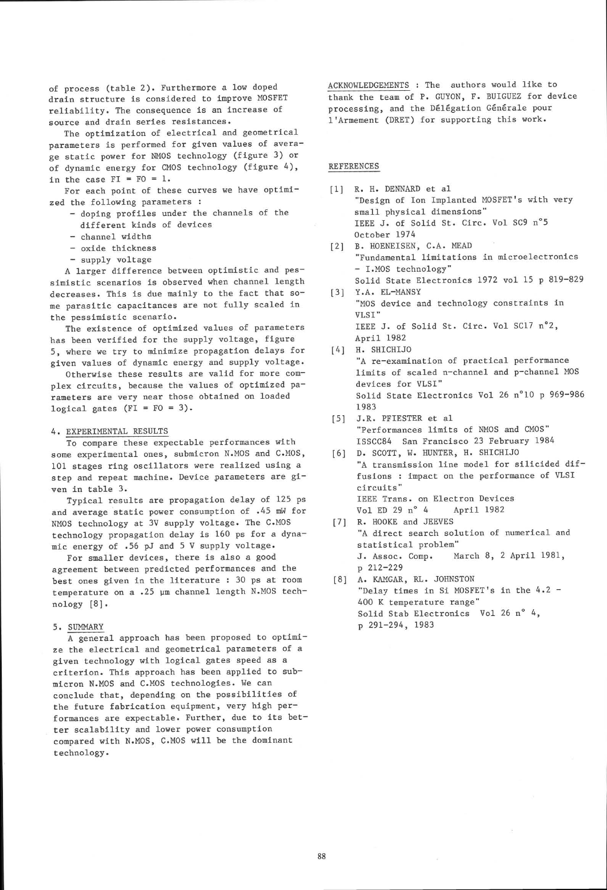of process (table 2). Furthermore a low doped drain structure is considered to improve MOSFET reliability. The consequence is an increase of source and drain series resistances.

The optimization of electrical and geometrical parameters is performed for given values of average static power for NMOS technology (figure 3) or of dynamic energy for CMOS technology (figure 4), in the case  $FI = FO = 1$ .

For each point of these curves we have optimized the following paraneters :

- doping profiles under the channels of the different kinds of devices
- channel widths
- oxide thickness
- supply voltage

A larger difference between optinistic and pessinistic scenarios is observed when channel length decreases. This is due mainly to the fact that some parasitic capacitances are not fully scaled in the pessimistic scenario.

The existence of optimized values of parameters has been verified for the supply voltage, figure 5, where we try to minimize propagation delays for given values of dynamic energy and supply voltage.

Otherwise these results are valid for more complex circuits, because the values of optimized parameters are very near those obtained on loaded logical gates  $(FI = FO = 3)$ .

#### 4. EXPERIMENTAL RESULTS

To compare these expectable performances with some experimental ones, submicron N.MOS and C.MOS, 101 stages ring oscillators were realized using <sup>a</sup> step and repeat machine. Device parameters are given in table 3.

Typical results are propagation delay of 125 ps and average static power consumption of  $.45$  mW for NMOS technology at 3V supply voltage. The C.MOS technology propagation delay is 160 ps for a dynamic energy of .56 pJ and 5 V supply voltage.

For smaller devices, there is also a good agreement between predicted performances and the best ones given in the literature : 30 ps at room temperature on a .25 pm channel length N.MOS technology [8].

## 5. SUMMARY

A general approach has been proposed to optimize the electrical and geometrical paraneters of <sup>a</sup> given technology with logical gates speed as a criterion. This approach has been applied to submicron N.MOS and C.M0S technologies. We can conclude that, depending on the possibilities of the future fabrication equipnent, very high performances are expectable. Further, due to its better scalability and lower power consumption compared with N.MOS, C.MOS will be the dominant technology.

ACKNOWLEDGEMENTS : The authors would like to thank the team of P. GUYON, F. BUIGUEZ for device processing, and the D6l6gation G6n6ra1e pour l'Armement (DRET) for supporting this work.

#### REFERENCES

- [1] R. H. DENNARD et al "Design of Ion Implanted MOSFET's with very sma11 physical dimensions" IEEE J. of Solid St. Circ. Vol SC9 n°5 October I974
- [2] B. HOENEISEN, C.A. MEAD "Fundamental limitations in microelectronics - I.MOS technology" Solid State Electronics 1972 vo1 15 p 819-829
- [3] Y.A. EL-MANSY "MOS device and technology constraints in VLSI" IEEE J. of Solid St. Circ. Vol SC17 n"2, April 1982
- [4] H. SHICHIJO "A re-examination of practical performance linits of scaled n-channel and p-channel MOS devices for VLSI" Solid State Electronics Vol 26 n"10 p 969-986 1983
- [5] J.R. PFIESTER et al "Performances limits of NMOS and CMOS" ISSCCS4 San Francisco 23 February 1984
- [6] D. SCOTT, W. HUNTER, H. SHICHIJO "A transmission line model for silicided diffusions : impact on the perfornance of VLSI circuits " IEEE Trans. on Electron Devices<br>Vol ED 29 n° 4 April 1982 Vol ED 29  $n^{\circ}$  4
- [7] R. HOOKE and JEEVES "A direct search solution of numerical and statistical problem" J. Assoc. Comp. March 8, 2 April 1981, p 2L2-229
- [8] A. KAMGAR, RL. JOHNSTON "Delay times in Si MOSFET's in the 4.2 -400 K temperature range" Solid Stab Electronics Vol 26 n° 4, p 29I-294, 1983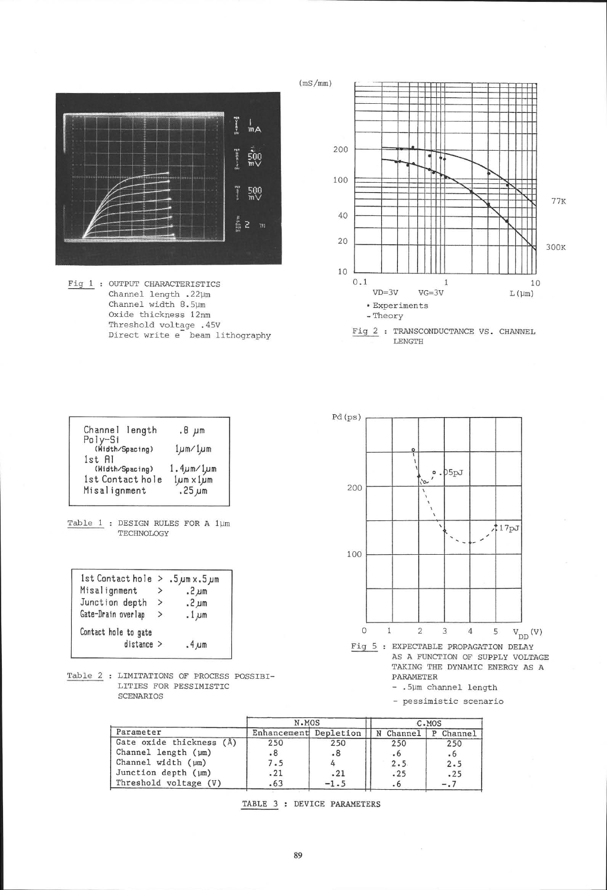

Fig 1 : OUTPUT CHARACTERISTICS Channel length .22um Channel width B.5pm Oxide thickness 12nm Threshold voltage .45V Direct write e beam lithography



LENGTH

| Channel length                   | $.8~\mu m$                              |  |  |
|----------------------------------|-----------------------------------------|--|--|
| Poly-Si<br>(Width/Spacing)       | $1 \mu m / 1 \mu m$<br>1.4um/1um        |  |  |
| 1st Al<br>(Width/Spacing)        |                                         |  |  |
| 1st Contact hole<br>Misalignment | $1 \mu m \times 1 \mu m$<br>$.25 \mu m$ |  |  |
|                                  |                                         |  |  |



| 1st Contact hole $> .5 \mu$ m x.5 $\mu$ m |               |            |
|-------------------------------------------|---------------|------------|
| Misalignment                              | >             | $.2 \mu m$ |
| Junction depth                            | $\geq$        | $.2 \mu m$ |
| Gate-Drain overlap                        | $\rightarrow$ | $.1 \mu m$ |
| Contact hole to gate<br>$distance$ >      |               | $.4 \mu m$ |
|                                           |               |            |

Table 2 : LIMITATIONS OF PROCESS POSSIBI-LITIES FOR PESSIMISTIC SCENARIOS



TAKING THE DYNAMIC ENERGY AS A PARAMETER

- .5Um channel length

- pessimistic scenario

|                          | N.MOS                 |        | C.MOS     |              |
|--------------------------|-----------------------|--------|-----------|--------------|
| Parameter                | Enhancement Depletion |        | N Channel | Channel<br>P |
| Gate oxide thickness (Å) | 250                   | 250    | 250       | 250          |
| Channel length (µm)      | $\cdot^8$             | .8     | $\cdot 6$ | $\cdot 6$    |
| Channel width $(\mu m)$  | 7.5                   |        | 2.5       | 2.5          |
| Junction depth $(\mu m)$ | .21                   | .21    | .25       | .25          |
| Threshold voltage (V)    | .63                   | $-1.5$ | $\cdot 6$ | $-0.7$       |

TABLE 3 : DEVICE PARAMETERS